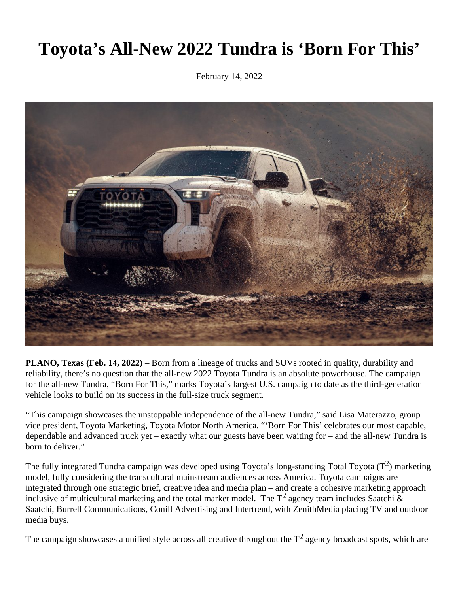## **Toyota's All-New 2022 Tundra is 'Born For This'**

February 14, 2022



**PLANO, Texas (Feb. 14, 2022)** – Born from a lineage of trucks and SUVs rooted in quality, durability and reliability, there's no question that the all-new 2022 Toyota Tundra is an absolute powerhouse. The campaign for the all-new Tundra, "Born For This," marks Toyota's largest U.S. campaign to date as the third-generation vehicle looks to build on its success in the full-size truck segment.

"This campaign showcases the unstoppable independence of the all-new Tundra," said Lisa Materazzo, group vice president, Toyota Marketing, Toyota Motor North America. "'Born For This' celebrates our most capable, dependable and advanced truck yet – exactly what our guests have been waiting for – and the all-new Tundra is born to deliver."

The fully integrated Tundra campaign was developed using Toyota's long-standing Total Toyota  $(T^2)$  marketing model, fully considering the transcultural mainstream audiences across America. Toyota campaigns are integrated through one strategic brief, creative idea and media plan – and create a cohesive marketing approach inclusive of multicultural marketing and the total market model. The  $T^2$  agency team includes Saatchi & Saatchi, Burrell Communications, Conill Advertising and Intertrend, with ZenithMedia placing TV and outdoor media buys.

The campaign showcases a unified style across all creative throughout the  $T^2$  agency broadcast spots, which are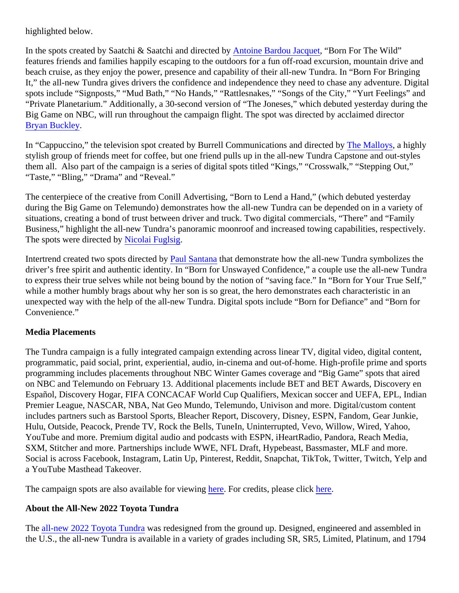highlighted below.

In the spots created by Saatchi & Saatchi and directe this paradou Jacquet Born For The Wild" features friends and families happily escaping to the outdoors for a fun off-road excursion, mountain drive and beach cruise, as they enjoy the power, presence and capability of their all-new Tundra. In "Born For Bringing It," the all-new Tundra gives drivers the confidence and independence they need to chase any adventure. Digital spots include "Signposts," "Mud Bath," "No Hands," "Rattlesnakes," "Songs of the City," "Yurt Feelings" and "Private Planetarium." Additionally, a 30-second version of "The Joneses," which debuted yesterday during th Big Game on NBC, will run throughout the campaign flight. The spot was directed by acclaimed director [Bryan Buckley](https://hungryman.com/directors/bryan-buckley/).

In "Cappuccino," the television spot created by Burrell Communications and direcle at by Alloys a highly stylish group of friends meet for coffee, but one friend pulls up in the all-new Tundra Capstone and out-styles them all. Also part of the campaign is a series of digital spots titled "Kings," "Crosswalk," "Stepping Out," "Taste," "Bling," "Drama" and "Reveal."

The centerpiece of the creative from Conill Advertising, "Born to Lend a Hand," (which debuted yesterday during the Big Game on Telemundo) demonstrates how the all-new Tundra can be depended on in a variety of situations, creating a bond of trust between driver and truck. Two digital commercials, "There" and "Family Business," highlight the all-new Tundra's panoramic moonroof and increased towing capabilities, respectively. The spots were directed **Nicolai Fuglsig** 

Intertrend created two spots directe[d by Paul Santan](http://www.paulsantanadirector.com/)thatdemonstrate how the all-new Tundra symbolizes the driver's free spirit and authentic identity. In "Born for Unswayed Confidence," a couple use the all-new Tundra to express their true selves while not being bound by the notion of "saving face." In "Born for Your True Self," while a mother humbly brags about why her son is so great, the hero demonstrates each characteristic in an unexpected way with the help of the all-new Tundra. Digital spots include "Born for Defiance" and "Born for Convenience."

## Media Placements

The Tundra campaign is a fully integrated campaign extending across linear TV, digital video, digital content, programmatic, paid social, print, experiential, audio, in-cinema and out-of-home. High-profile prime and sports programming includes placements throughout NBC Winter Games coverage and "Big Game" spots that aired on NBC and Telemundo on February 13. Additional placements include BET and BET Awards, Discovery en Español, Discovery Hogar, FIFA CONCACAF World Cup Qualifiers, Mexican soccer and UEFA, EPL, Indian Premier League, NASCAR, NBA, Nat Geo Mundo, Telemundo, Univison and more. Digital/custom content includes partners such as Barstool Sports, Bleacher Report, Discovery, Disney, ESPN, Fandom, Gear Junkie, Hulu, Outside, Peacock, Prende TV, Rock the Bells, TuneIn, Uninterrupted, Vevo, Willow, Wired, Yahoo, YouTube and more. Premium digital audio and podcasts with ESPN, iHeartRadio, Pandora, Reach Media, SXM, Stitcher and more. Partnerships include WWE, NFL Draft, Hypebeast, Bassmaster, MLF and more. Social is across Facebook, Instagram, Latin Up, Pinterest, Reddit, Snapchat, TikTok, Twitter, Twitch, Yelp an a YouTube Masthead Takeover.

The campaign spots are also available for vie[wing](https://www.youtube.com/user/ToyotaUSA) For credits, please clickere.

## About the All-New 2022 Toyota Tundra

The [all-new 2022 Toyota Tund](https://pressroom.toyota.com/vehicle/2022-toyota-tundra/)ras redesigned from the ground up. Designed, engineered and assembled in the U.S., the all-new Tundra is available in a variety of grades including SR, SR5, Limited, Platinum, and 179